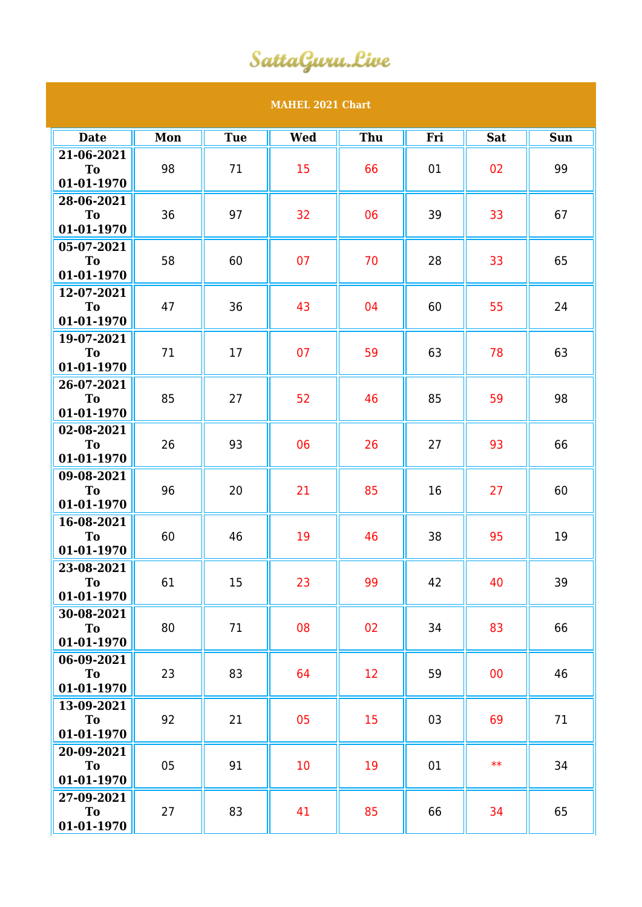## SattaGuru.Live

## **MAHEL 2021 Chart**

| <b>Date</b>                                | Mon | <b>Tue</b> | <b>Wed</b> | Thu | Fri | <b>Sat</b> | <b>Sun</b> |
|--------------------------------------------|-----|------------|------------|-----|-----|------------|------------|
| 21-06-2021<br><b>To</b><br>01-01-1970      | 98  | 71         | 15         | 66  | 01  | 02         | 99         |
| 28-06-2021<br>To<br>01-01-1970             | 36  | 97         | 32         | 06  | 39  | 33         | 67         |
| $05 - 07 - 2021$<br>To<br>01-01-1970       | 58  | 60         | 07         | 70  | 28  | 33         | 65         |
| 12-07-2021<br>To<br>01-01-1970             | 47  | 36         | 43         | 04  | 60  | 55         | 24         |
| 19-07-2021<br>To<br>01-01-1970             | 71  | 17         | 07         | 59  | 63  | 78         | 63         |
| 26-07-2021<br>To<br>01-01-1970             | 85  | 27         | 52         | 46  | 85  | 59         | 98         |
| 02-08-2021<br>T <sub>o</sub><br>01-01-1970 | 26  | 93         | 06         | 26  | 27  | 93         | 66         |
| 09-08-2021<br><b>To</b><br>01-01-1970      | 96  | 20         | 21         | 85  | 16  | 27         | 60         |
| 16-08-2021<br>T <sub>o</sub><br>01-01-1970 | 60  | 46         | 19         | 46  | 38  | 95         | 19         |
| 23-08-2021<br><b>To</b><br>01-01-1970      | 61  | 15         | 23         | 99  | 42  | 40         | 39         |
| 30-08-2021<br>To<br>01-01-1970             | 80  | 71         | 08         | 02  | 34  | 83         | 66         |
| 06-09-2021<br>To<br>01-01-1970             | 23  | 83         | 64         | 12  | 59  | 00         | 46         |
| 13-09-2021<br>To<br>01-01-1970             | 92  | 21         | 05         | 15  | 03  | 69         | 71         |
| 20-09-2021<br>To<br>01-01-1970             | 05  | 91         | 10         | 19  | 01  | $**$       | 34         |
| 27-09-2021<br>To<br>01-01-1970             | 27  | 83         | 41         | 85  | 66  | 34         | 65         |